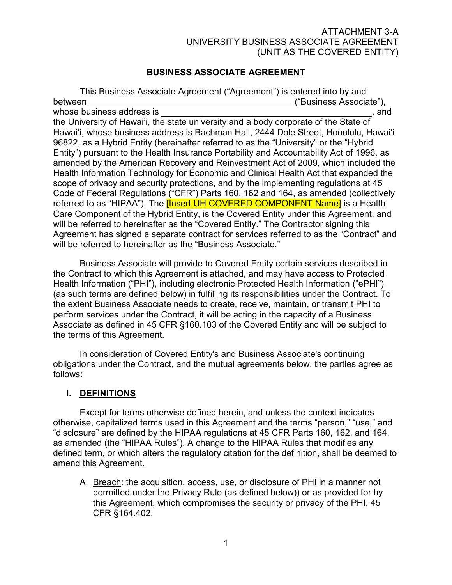# BUSINESS ASSOCIATE AGREEMENT

 This Business Associate Agreement ("Agreement") is entered into by and between ("Business Associate"), whose business address is , and the University of Hawai'i, the state university and a body corporate of the State of Hawai'i, whose business address is Bachman Hall, 2444 Dole Street, Honolulu, Hawai'i 96822, as a Hybrid Entity (hereinafter referred to as the "University" or the "Hybrid Entity") pursuant to the Health Insurance Portability and Accountability Act of 1996, as amended by the American Recovery and Reinvestment Act of 2009, which included the Health Information Technology for Economic and Clinical Health Act that expanded the scope of privacy and security protections, and by the implementing regulations at 45 Code of Federal Regulations ("CFR") Parts 160, 162 and 164, as amended (collectively referred to as "HIPAA"). The **[Insert UH COVERED COMPONENT Name]** is a Health Care Component of the Hybrid Entity, is the Covered Entity under this Agreement, and will be referred to hereinafter as the "Covered Entity." The Contractor signing this Agreement has signed a separate contract for services referred to as the "Contract" and will be referred to hereinafter as the "Business Associate."

 Business Associate will provide to Covered Entity certain services described in the Contract to which this Agreement is attached, and may have access to Protected Health Information ("PHI"), including electronic Protected Health Information ("ePHI") (as such terms are defined below) in fulfilling its responsibilities under the Contract. To the extent Business Associate needs to create, receive, maintain, or transmit PHI to perform services under the Contract, it will be acting in the capacity of a Business Associate as defined in 45 CFR §160.103 of the Covered Entity and will be subject to the terms of this Agreement.

 In consideration of Covered Entity's and Business Associate's continuing obligations under the Contract, and the mutual agreements below, the parties agree as follows:

# I. DEFINITIONS

 Except for terms otherwise defined herein, and unless the context indicates otherwise, capitalized terms used in this Agreement and the terms "person," "use," and "disclosure" are defined by the HIPAA regulations at 45 CFR Parts 160, 162, and 164, as amended (the "HIPAA Rules"). A change to the HIPAA Rules that modifies any defined term, or which alters the regulatory citation for the definition, shall be deemed to amend this Agreement.

A. Breach: the acquisition, access, use, or disclosure of PHI in a manner not permitted under the Privacy Rule (as defined below)) or as provided for by this Agreement, which compromises the security or privacy of the PHI, 45 CFR §164.402.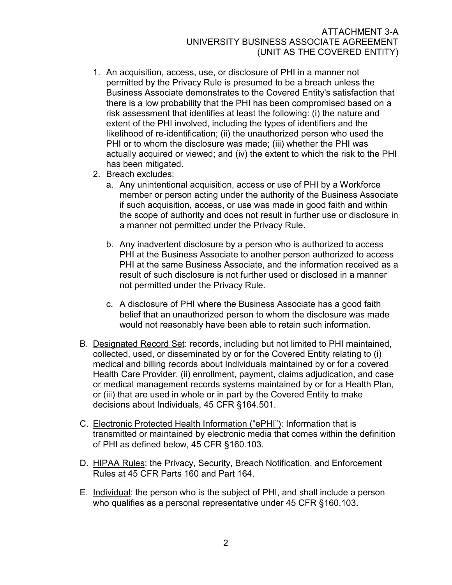- 1. An acquisition, access, use, or disclosure of PHI in a manner not permitted by the Privacy Rule is presumed to be a breach unless the Business Associate demonstrates to the Covered Entity's satisfaction that there is a low probability that the PHI has been compromised based on a risk assessment that identifies at least the following: (i) the nature and extent of the PHI involved, including the types of identifiers and the likelihood of re-identification; (ii) the unauthorized person who used the PHI or to whom the disclosure was made; (iii) whether the PHI was actually acquired or viewed; and (iv) the extent to which the risk to the PHI has been mitigated.
- 2. Breach excludes:
	- a. Any unintentional acquisition, access or use of PHI by a Workforce member or person acting under the authority of the Business Associate if such acquisition, access, or use was made in good faith and within the scope of authority and does not result in further use or disclosure in a manner not permitted under the Privacy Rule.
	- b. Any inadvertent disclosure by a person who is authorized to access PHI at the Business Associate to another person authorized to access PHI at the same Business Associate, and the information received as a result of such disclosure is not further used or disclosed in a manner not permitted under the Privacy Rule.
	- c. A disclosure of PHI where the Business Associate has a good faith belief that an unauthorized person to whom the disclosure was made would not reasonably have been able to retain such information.
- B. Designated Record Set: records, including but not limited to PHI maintained, collected, used, or disseminated by or for the Covered Entity relating to (i) medical and billing records about Individuals maintained by or for a covered Health Care Provider, (ii) enrollment, payment, claims adjudication, and case or medical management records systems maintained by or for a Health Plan, or (iii) that are used in whole or in part by the Covered Entity to make decisions about Individuals, 45 CFR §164.501.
- C. Electronic Protected Health Information ("ePHI"): Information that is transmitted or maintained by electronic media that comes within the definition of PHI as defined below, 45 CFR §160.103.
- D. HIPAA Rules: the Privacy, Security, Breach Notification, and Enforcement Rules at 45 CFR Parts 160 and Part 164.
- E. Individual: the person who is the subject of PHI, and shall include a person who qualifies as a personal representative under 45 CFR §160.103.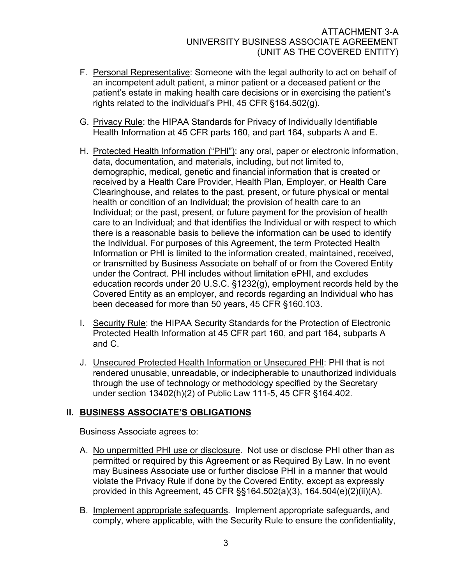- F. Personal Representative: Someone with the legal authority to act on behalf of an incompetent adult patient, a minor patient or a deceased patient or the patient's estate in making health care decisions or in exercising the patient's rights related to the individual's PHI, 45 CFR §164.502(g).
- G. Privacy Rule: the HIPAA Standards for Privacy of Individually Identifiable Health Information at 45 CFR parts 160, and part 164, subparts A and E.
- H. Protected Health Information ("PHI"): any oral, paper or electronic information, data, documentation, and materials, including, but not limited to, demographic, medical, genetic and financial information that is created or received by a Health Care Provider, Health Plan, Employer, or Health Care Clearinghouse, and relates to the past, present, or future physical or mental health or condition of an Individual; the provision of health care to an Individual; or the past, present, or future payment for the provision of health care to an Individual; and that identifies the Individual or with respect to which there is a reasonable basis to believe the information can be used to identify the Individual. For purposes of this Agreement, the term Protected Health Information or PHI is limited to the information created, maintained, received, or transmitted by Business Associate on behalf of or from the Covered Entity under the Contract. PHI includes without limitation ePHI, and excludes education records under 20 U.S.C. §1232(g), employment records held by the Covered Entity as an employer, and records regarding an Individual who has been deceased for more than 50 years, 45 CFR §160.103.
- I. Security Rule: the HIPAA Security Standards for the Protection of Electronic Protected Health Information at 45 CFR part 160, and part 164, subparts A and C.
- J. Unsecured Protected Health Information or Unsecured PHI: PHI that is not rendered unusable, unreadable, or indecipherable to unauthorized individuals through the use of technology or methodology specified by the Secretary under section 13402(h)(2) of Public Law 111-5, 45 CFR §164.402.

# II. BUSINESS ASSOCIATE'S OBLIGATIONS

Business Associate agrees to:

- A. No unpermitted PHI use or disclosure. Not use or disclose PHI other than as permitted or required by this Agreement or as Required By Law. In no event may Business Associate use or further disclose PHI in a manner that would violate the Privacy Rule if done by the Covered Entity, except as expressly provided in this Agreement, 45 CFR §§164.502(a)(3), 164.504(e)(2)(ii)(A).
- B. Implement appropriate safeguards. Implement appropriate safeguards, and comply, where applicable, with the Security Rule to ensure the confidentiality,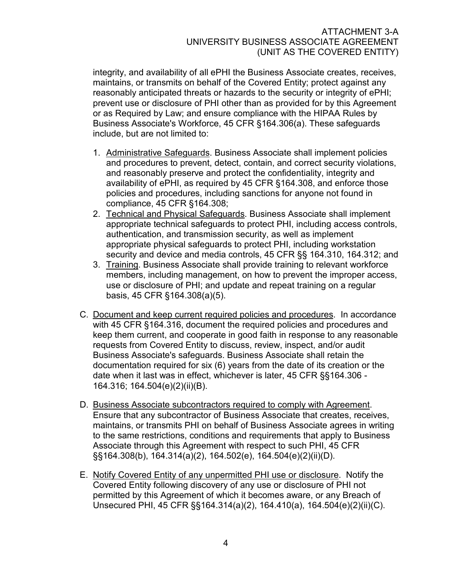integrity, and availability of all ePHI the Business Associate creates, receives, maintains, or transmits on behalf of the Covered Entity; protect against any reasonably anticipated threats or hazards to the security or integrity of ePHI; prevent use or disclosure of PHI other than as provided for by this Agreement or as Required by Law; and ensure compliance with the HIPAA Rules by Business Associate's Workforce, 45 CFR §164.306(a). These safeguards include, but are not limited to:

- 1. Administrative Safeguards. Business Associate shall implement policies and procedures to prevent, detect, contain, and correct security violations, and reasonably preserve and protect the confidentiality, integrity and availability of ePHI, as required by 45 CFR §164.308, and enforce those policies and procedures, including sanctions for anyone not found in compliance, 45 CFR §164.308;
- 2. Technical and Physical Safeguards. Business Associate shall implement appropriate technical safeguards to protect PHI, including access controls, authentication, and transmission security, as well as implement appropriate physical safeguards to protect PHI, including workstation security and device and media controls, 45 CFR §§ 164.310, 164.312; and
- 3. Training. Business Associate shall provide training to relevant workforce members, including management, on how to prevent the improper access, use or disclosure of PHI; and update and repeat training on a regular basis, 45 CFR §164.308(a)(5).
- C. Document and keep current required policies and procedures. In accordance with 45 CFR §164.316, document the required policies and procedures and keep them current, and cooperate in good faith in response to any reasonable requests from Covered Entity to discuss, review, inspect, and/or audit Business Associate's safeguards. Business Associate shall retain the documentation required for six (6) years from the date of its creation or the date when it last was in effect, whichever is later, 45 CFR §§164.306 - 164.316; 164.504(e)(2)(ii)(B).
- D. Business Associate subcontractors required to comply with Agreement. Ensure that any subcontractor of Business Associate that creates, receives, maintains, or transmits PHI on behalf of Business Associate agrees in writing to the same restrictions, conditions and requirements that apply to Business Associate through this Agreement with respect to such PHI, 45 CFR §§164.308(b), 164.314(a)(2), 164.502(e), 164.504(e)(2)(ii)(D).
- E. Notify Covered Entity of any unpermitted PHI use or disclosure. Notify the Covered Entity following discovery of any use or disclosure of PHI not permitted by this Agreement of which it becomes aware, or any Breach of Unsecured PHI, 45 CFR §§164.314(a)(2), 164.410(a), 164.504(e)(2)(ii)(C).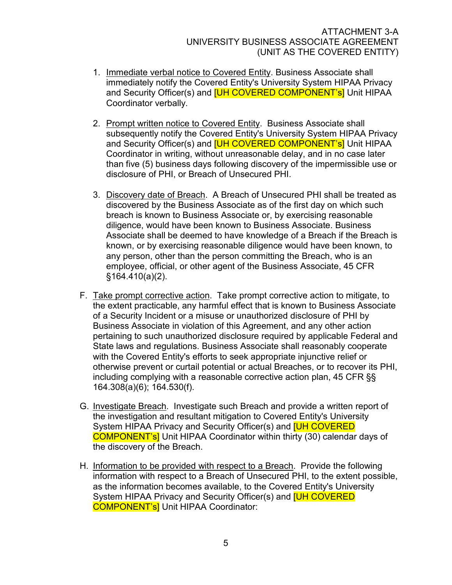- 1. Immediate verbal notice to Covered Entity. Business Associate shall immediately notify the Covered Entity's University System HIPAA Privacy and Security Officer(s) and **[UH COVERED COMPONENT's**] Unit HIPAA Coordinator verbally.
- 2. Prompt written notice to Covered Entity. Business Associate shall subsequently notify the Covered Entity's University System HIPAA Privacy and Security Officer(s) and **[UH COVERED COMPONENT's**] Unit HIPAA Coordinator in writing, without unreasonable delay, and in no case later than five (5) business days following discovery of the impermissible use or disclosure of PHI, or Breach of Unsecured PHI.
- 3. Discovery date of Breach. A Breach of Unsecured PHI shall be treated as discovered by the Business Associate as of the first day on which such breach is known to Business Associate or, by exercising reasonable diligence, would have been known to Business Associate. Business Associate shall be deemed to have knowledge of a Breach if the Breach is known, or by exercising reasonable diligence would have been known, to any person, other than the person committing the Breach, who is an employee, official, or other agent of the Business Associate, 45 CFR §164.410(a)(2).
- F. Take prompt corrective action. Take prompt corrective action to mitigate, to the extent practicable, any harmful effect that is known to Business Associate of a Security Incident or a misuse or unauthorized disclosure of PHI by Business Associate in violation of this Agreement, and any other action pertaining to such unauthorized disclosure required by applicable Federal and State laws and regulations. Business Associate shall reasonably cooperate with the Covered Entity's efforts to seek appropriate injunctive relief or otherwise prevent or curtail potential or actual Breaches, or to recover its PHI, including complying with a reasonable corrective action plan, 45 CFR §§ 164.308(a)(6); 164.530(f).
- G. Investigate Breach. Investigate such Breach and provide a written report of the investigation and resultant mitigation to Covered Entity's University System HIPAA Privacy and Security Officer(s) and **[UH COVERED** COMPONENT's] Unit HIPAA Coordinator within thirty (30) calendar days of the discovery of the Breach.
- H. Information to be provided with respect to a Breach. Provide the following information with respect to a Breach of Unsecured PHI, to the extent possible, as the information becomes available, to the Covered Entity's University System HIPAA Privacy and Security Officer(s) and **[UH COVERED** COMPONENT's] Unit HIPAA Coordinator: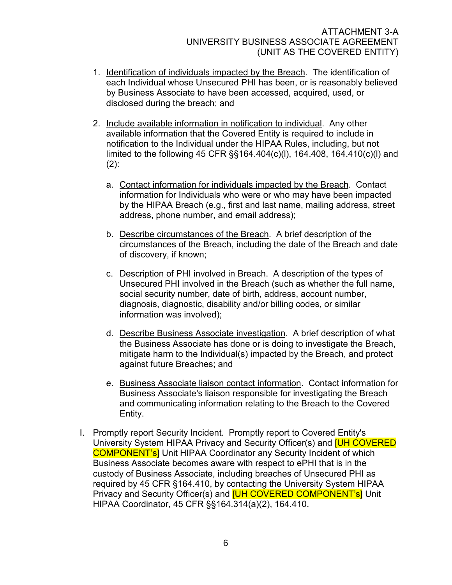- 1. Identification of individuals impacted by the Breach. The identification of each Individual whose Unsecured PHI has been, or is reasonably believed by Business Associate to have been accessed, acquired, used, or disclosed during the breach; and
- 2. Include available information in notification to individual. Any other available information that the Covered Entity is required to include in notification to the Individual under the HIPAA Rules, including, but not limited to the following 45 CFR §§164.404(c)(l), 164.408, 164.410(c)(l) and  $(2)$ :
	- a. Contact information for individuals impacted by the Breach. Contact information for Individuals who were or who may have been impacted by the HIPAA Breach (e.g., first and last name, mailing address, street address, phone number, and email address);
	- b. Describe circumstances of the Breach. A brief description of the circumstances of the Breach, including the date of the Breach and date of discovery, if known;
	- c. Description of PHI involved in Breach. A description of the types of Unsecured PHI involved in the Breach (such as whether the full name, social security number, date of birth, address, account number, diagnosis, diagnostic, disability and/or billing codes, or similar information was involved);
	- d. Describe Business Associate investigation. A brief description of what the Business Associate has done or is doing to investigate the Breach, mitigate harm to the Individual(s) impacted by the Breach, and protect against future Breaches; and
	- e. Business Associate liaison contact information. Contact information for Business Associate's liaison responsible for investigating the Breach and communicating information relating to the Breach to the Covered Entity.
- I. Promptly report Security Incident. Promptly report to Covered Entity's University System HIPAA Privacy and Security Officer(s) and [UH COVERED COMPONENT's] Unit HIPAA Coordinator any Security Incident of which Business Associate becomes aware with respect to ePHI that is in the custody of Business Associate, including breaches of Unsecured PHI as required by 45 CFR §164.410, by contacting the University System HIPAA Privacy and Security Officer(s) and **[UH COVERED COMPONENT's**] Unit HIPAA Coordinator, 45 CFR §§164.314(a)(2), 164.410.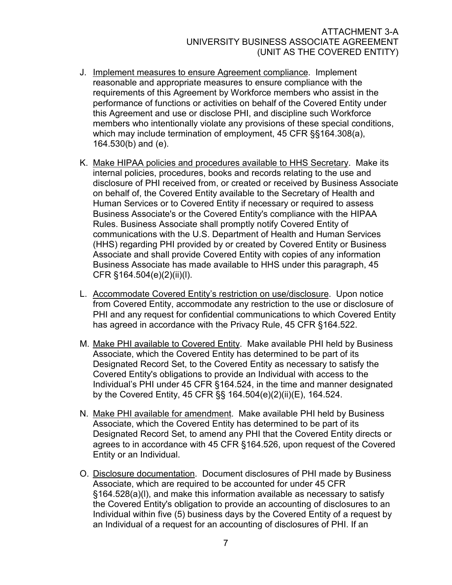- J. Implement measures to ensure Agreement compliance. Implement reasonable and appropriate measures to ensure compliance with the requirements of this Agreement by Workforce members who assist in the performance of functions or activities on behalf of the Covered Entity under this Agreement and use or disclose PHI, and discipline such Workforce members who intentionally violate any provisions of these special conditions, which may include termination of employment, 45 CFR §§164.308(a), 164.530(b) and (e).
- K. Make HIPAA policies and procedures available to HHS Secretary. Make its internal policies, procedures, books and records relating to the use and disclosure of PHI received from, or created or received by Business Associate on behalf of, the Covered Entity available to the Secretary of Health and Human Services or to Covered Entity if necessary or required to assess Business Associate's or the Covered Entity's compliance with the HIPAA Rules. Business Associate shall promptly notify Covered Entity of communications with the U.S. Department of Health and Human Services (HHS) regarding PHI provided by or created by Covered Entity or Business Associate and shall provide Covered Entity with copies of any information Business Associate has made available to HHS under this paragraph, 45 CFR §164.504(e)(2)(ii)(l).
- L. Accommodate Covered Entity's restriction on use/disclosure. Upon notice from Covered Entity, accommodate any restriction to the use or disclosure of PHI and any request for confidential communications to which Covered Entity has agreed in accordance with the Privacy Rule, 45 CFR §164.522.
- M. Make PHI available to Covered Entity. Make available PHI held by Business Associate, which the Covered Entity has determined to be part of its Designated Record Set, to the Covered Entity as necessary to satisfy the Covered Entity's obligations to provide an Individual with access to the Individual's PHI under 45 CFR §164.524, in the time and manner designated by the Covered Entity, 45 CFR §§ 164.504(e)(2)(ii)(E), 164.524.
- N. Make PHI available for amendment. Make available PHI held by Business Associate, which the Covered Entity has determined to be part of its Designated Record Set, to amend any PHI that the Covered Entity directs or agrees to in accordance with 45 CFR §164.526, upon request of the Covered Entity or an Individual.
- O. Disclosure documentation. Document disclosures of PHI made by Business Associate, which are required to be accounted for under 45 CFR §164.528(a)(l), and make this information available as necessary to satisfy the Covered Entity's obligation to provide an accounting of disclosures to an Individual within five (5) business days by the Covered Entity of a request by an Individual of a request for an accounting of disclosures of PHI. If an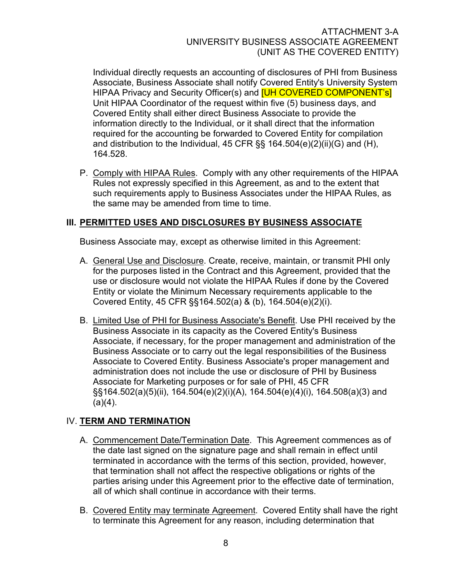Individual directly requests an accounting of disclosures of PHI from Business Associate, Business Associate shall notify Covered Entity's University System HIPAA Privacy and Security Officer(s) and **[UH COVERED COMPONENT's**] Unit HIPAA Coordinator of the request within five (5) business days, and Covered Entity shall either direct Business Associate to provide the information directly to the Individual, or it shall direct that the information required for the accounting be forwarded to Covered Entity for compilation and distribution to the Individual, 45 CFR §§ 164.504(e)(2)(ii)(G) and (H), 164.528.

P. Comply with HIPAA Rules. Comply with any other requirements of the HIPAA Rules not expressly specified in this Agreement, as and to the extent that such requirements apply to Business Associates under the HIPAA Rules, as the same may be amended from time to time.

# III. PERMITTED USES AND DISCLOSURES BY BUSINESS ASSOCIATE

Business Associate may, except as otherwise limited in this Agreement:

- A. General Use and Disclosure. Create, receive, maintain, or transmit PHI only for the purposes listed in the Contract and this Agreement, provided that the use or disclosure would not violate the HIPAA Rules if done by the Covered Entity or violate the Minimum Necessary requirements applicable to the Covered Entity, 45 CFR §§164.502(a) & (b), 164.504(e)(2)(i).
- B. Limited Use of PHI for Business Associate's Benefit. Use PHI received by the Business Associate in its capacity as the Covered Entity's Business Associate, if necessary, for the proper management and administration of the Business Associate or to carry out the legal responsibilities of the Business Associate to Covered Entity. Business Associate's proper management and administration does not include the use or disclosure of PHI by Business Associate for Marketing purposes or for sale of PHI, 45 CFR §§164.502(a)(5)(ii), 164.504(e)(2)(i)(A), 164.504(e)(4)(i), 164.508(a)(3) and  $(a)(4)$ .

# IV. TERM AND TERMINATION

- A. Commencement Date/Termination Date. This Agreement commences as of the date last signed on the signature page and shall remain in effect until terminated in accordance with the terms of this section, provided, however, that termination shall not affect the respective obligations or rights of the parties arising under this Agreement prior to the effective date of termination, all of which shall continue in accordance with their terms.
- B. Covered Entity may terminate Agreement. Covered Entity shall have the right to terminate this Agreement for any reason, including determination that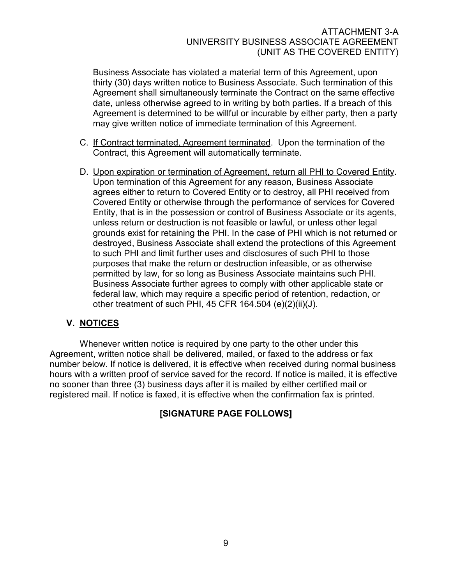Business Associate has violated a material term of this Agreement, upon thirty (30) days written notice to Business Associate. Such termination of this Agreement shall simultaneously terminate the Contract on the same effective date, unless otherwise agreed to in writing by both parties. If a breach of this Agreement is determined to be willful or incurable by either party, then a party may give written notice of immediate termination of this Agreement.

- C. If Contract terminated, Agreement terminated. Upon the termination of the Contract, this Agreement will automatically terminate.
- D. Upon expiration or termination of Agreement, return all PHI to Covered Entity. Upon termination of this Agreement for any reason, Business Associate agrees either to return to Covered Entity or to destroy, all PHI received from Covered Entity or otherwise through the performance of services for Covered Entity, that is in the possession or control of Business Associate or its agents, unless return or destruction is not feasible or lawful, or unless other legal grounds exist for retaining the PHI. In the case of PHI which is not returned or destroyed, Business Associate shall extend the protections of this Agreement to such PHI and limit further uses and disclosures of such PHI to those purposes that make the return or destruction infeasible, or as otherwise permitted by law, for so long as Business Associate maintains such PHI. Business Associate further agrees to comply with other applicable state or federal law, which may require a specific period of retention, redaction, or other treatment of such PHI, 45 CFR 164.504 (e)(2)(ii)(J).

# V. NOTICES

Whenever written notice is required by one party to the other under this Agreement, written notice shall be delivered, mailed, or faxed to the address or fax number below. If notice is delivered, it is effective when received during normal business hours with a written proof of service saved for the record. If notice is mailed, it is effective no sooner than three (3) business days after it is mailed by either certified mail or registered mail. If notice is faxed, it is effective when the confirmation fax is printed.

# [SIGNATURE PAGE FOLLOWS]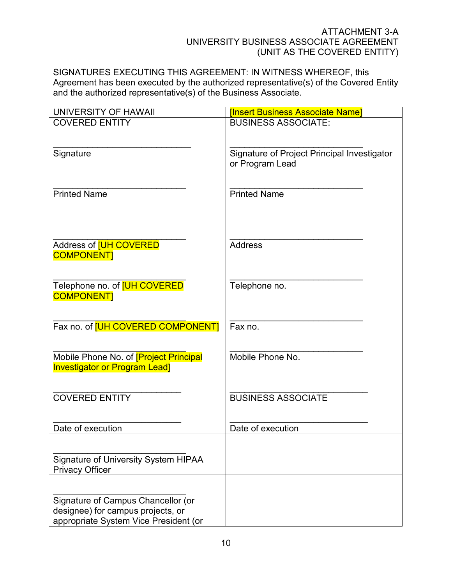SIGNATURES EXECUTING THIS AGREEMENT: IN WITNESS WHEREOF, this Agreement has been executed by the authorized representative(s) of the Covered Entity and the authorized representative(s) of the Business Associate.

| UNIVERSITY OF HAWAII                                                                  | <b>Insert Business Associate Namel</b>      |
|---------------------------------------------------------------------------------------|---------------------------------------------|
| <b>COVERED ENTITY</b>                                                                 | <b>BUSINESS ASSOCIATE:</b>                  |
|                                                                                       |                                             |
| Signature                                                                             | Signature of Project Principal Investigator |
|                                                                                       | or Program Lead                             |
|                                                                                       |                                             |
| <b>Printed Name</b>                                                                   | <b>Printed Name</b>                         |
|                                                                                       |                                             |
|                                                                                       |                                             |
|                                                                                       |                                             |
| Address of <b>[UH COVERED</b>                                                         | <b>Address</b>                              |
| <b>COMPONENT</b>                                                                      |                                             |
|                                                                                       |                                             |
| Telephone no. of <b>[UH COVERED</b>                                                   | Telephone no.                               |
| <b>COMPONENT</b>                                                                      |                                             |
|                                                                                       |                                             |
| Fax no. of [UH COVERED COMPONENT]                                                     | Fax no.                                     |
|                                                                                       |                                             |
|                                                                                       |                                             |
| Mobile Phone No. of <b>[Project Principal</b><br><b>Investigator or Program Lead]</b> | Mobile Phone No.                            |
|                                                                                       |                                             |
|                                                                                       |                                             |
| <b>COVERED ENTITY</b>                                                                 | <b>BUSINESS ASSOCIATE</b>                   |
|                                                                                       |                                             |
| Date of execution                                                                     | Date of execution                           |
|                                                                                       |                                             |
| Signature of University System HIPAA                                                  |                                             |
| <b>Privacy Officer</b>                                                                |                                             |
|                                                                                       |                                             |
| Signature of Campus Chancellor (or                                                    |                                             |
| designee) for campus projects, or                                                     |                                             |
| appropriate System Vice President (or                                                 |                                             |